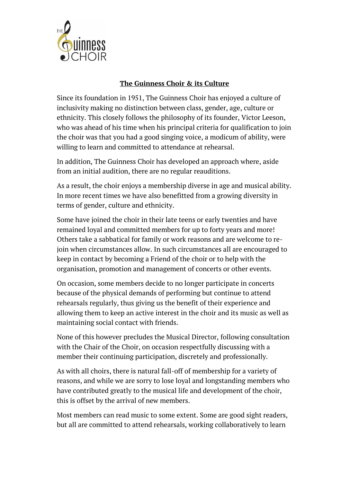

## **The Guinness Choir & its Culture**

Since its foundation in 1951, The Guinness Choir has enjoyed a culture of inclusivity making no distinction between class, gender, age, culture or ethnicity. This closely follows the philosophy of its founder, Victor Leeson, who was ahead of his time when his principal criteria for qualification to join the choir was that you had a good singing voice, a modicum of ability, were willing to learn and committed to attendance at rehearsal.

In addition, The Guinness Choir has developed an approach where, aside from an initial audition, there are no regular reauditions.

As a result, the choir enjoys a membership diverse in age and musical ability. In more recent times we have also benefitted from a growing diversity in terms of gender, culture and ethnicity.

Some have joined the choir in their late teens or early twenties and have remained loyal and committed members for up to forty years and more! Others take a sabbatical for family or work reasons and are welcome to rejoin when circumstances allow. In such circumstances all are encouraged to keep in contact by becoming a Friend of the choir or to help with the organisation, promotion and management of concerts or other events.

On occasion, some members decide to no longer participate in concerts because of the physical demands of performing but continue to attend rehearsals regularly, thus giving us the benefit of their experience and allowing them to keep an active interest in the choir and its music as well as maintaining social contact with friends.

None of this however precludes the Musical Director, following consultation with the Chair of the Choir, on occasion respectfully discussing with a member their continuing participation, discretely and professionally.

As with all choirs, there is natural fall-off of membership for a variety of reasons, and while we are sorry to lose loyal and longstanding members who have contributed greatly to the musical life and development of the choir, this is offset by the arrival of new members.

Most members can read music to some extent. Some are good sight readers, but all are committed to attend rehearsals, working collaboratively to learn